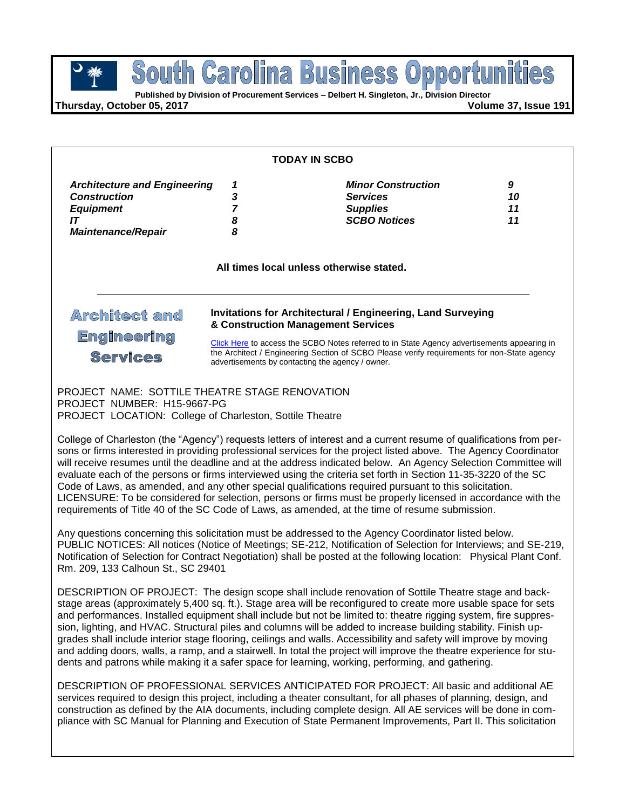**Business** South Carolina **POUTH GETOIME BUSINESS OPPOPTU**<br> **Published by Division of Procurement Services – Delbert H. Singleton, Jr., Division Director** 

**Thursday, October 05, 2017 Volume 37, Issue 191**

| <b>TODAY IN SCBO</b>                                                                                        |                                                                                                                                                                                                                                                                                                                                                            |                                                                                                                                                     |  |  |
|-------------------------------------------------------------------------------------------------------------|------------------------------------------------------------------------------------------------------------------------------------------------------------------------------------------------------------------------------------------------------------------------------------------------------------------------------------------------------------|-----------------------------------------------------------------------------------------------------------------------------------------------------|--|--|
| <b>Architecture and Engineering</b><br><b>Construction</b><br><b>Equipment</b><br><b>Maintenance/Repair</b> | 3<br>8<br>8                                                                                                                                                                                                                                                                                                                                                | <b>Minor Construction</b><br>9<br><b>Services</b><br>10<br><b>Supplies</b><br><b>SCBO Notices</b><br>11<br>All times local unless otherwise stated. |  |  |
| Architect and<br><b>Engineering</b><br><b>Services</b>                                                      | <b>Invitations for Architectural / Engineering, Land Surveying</b><br>& Construction Management Services<br>Click Here to access the SCBO Notes referred to in State Agency advertisements appearing in<br>the Architect / Engineering Section of SCBO Please verify requirements for non-State agency<br>advertisements by contacting the agency / owner. |                                                                                                                                                     |  |  |

PROJECT NAME: SOTTILE THEATRE STAGE RENOVATION PROJECT NUMBER: H15-9667-PG PROJECT LOCATION: College of Charleston, Sottile Theatre

College of Charleston (the "Agency") requests letters of interest and a current resume of qualifications from persons or firms interested in providing professional services for the project listed above. The Agency Coordinator will receive resumes until the deadline and at the address indicated below. An Agency Selection Committee will evaluate each of the persons or firms interviewed using the criteria set forth in Section 11-35-3220 of the SC Code of Laws, as amended, and any other special qualifications required pursuant to this solicitation. LICENSURE: To be considered for selection, persons or firms must be properly licensed in accordance with the requirements of Title 40 of the SC Code of Laws, as amended, at the time of resume submission.

Any questions concerning this solicitation must be addressed to the Agency Coordinator listed below. PUBLIC NOTICES: All notices (Notice of Meetings; SE-212, Notification of Selection for Interviews; and SE-219, Notification of Selection for Contract Negotiation) shall be posted at the following location: Physical Plant Conf. Rm. 209, 133 Calhoun St., SC 29401

DESCRIPTION OF PROJECT: The design scope shall include renovation of Sottile Theatre stage and backstage areas (approximately 5,400 sq. ft.). Stage area will be reconfigured to create more usable space for sets and performances. Installed equipment shall include but not be limited to: theatre rigging system, fire suppression, lighting, and HVAC. Structural piles and columns will be added to increase building stability. Finish upgrades shall include interior stage flooring, ceilings and walls. Accessibility and safety will improve by moving and adding doors, walls, a ramp, and a stairwell. In total the project will improve the theatre experience for students and patrons while making it a safer space for learning, working, performing, and gathering.

DESCRIPTION OF PROFESSIONAL SERVICES ANTICIPATED FOR PROJECT: All basic and additional AE services required to design this project, including a theater consultant, for all phases of planning, design, and construction as defined by the AIA documents, including complete design. All AE services will be done in compliance with SC Manual for Planning and Execution of State Permanent Improvements, Part II. This solicitation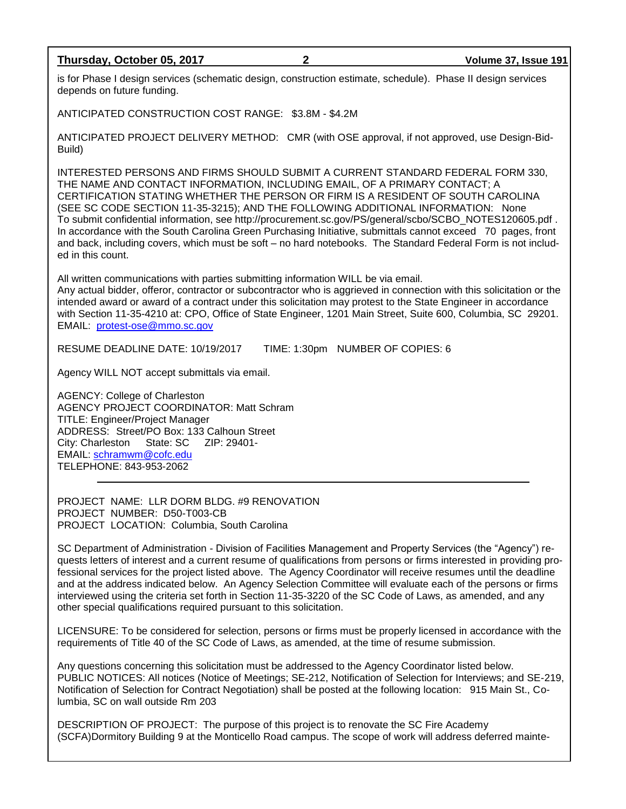### **Thursday, October 05, 2017 2 Volume 37, Issue 191**

is for Phase I design services (schematic design, construction estimate, schedule). Phase II design services depends on future funding.

ANTICIPATED CONSTRUCTION COST RANGE: \$3.8M - \$4.2M

ANTICIPATED PROJECT DELIVERY METHOD: CMR (with OSE approval, if not approved, use Design-Bid-Build)

INTERESTED PERSONS AND FIRMS SHOULD SUBMIT A CURRENT STANDARD FEDERAL FORM 330, THE NAME AND CONTACT INFORMATION, INCLUDING EMAIL, OF A PRIMARY CONTACT; A CERTIFICATION STATING WHETHER THE PERSON OR FIRM IS A RESIDENT OF SOUTH CAROLINA (SEE SC CODE SECTION 11-35-3215); AND THE FOLLOWING ADDITIONAL INFORMATION: None To submit confidential information, see http://procurement.sc.gov/PS/general/scbo/SCBO\_NOTES120605.pdf . In accordance with the South Carolina Green Purchasing Initiative, submittals cannot exceed 70 pages, front and back, including covers, which must be soft – no hard notebooks. The Standard Federal Form is not included in this count.

All written communications with parties submitting information WILL be via email. Any actual bidder, offeror, contractor or subcontractor who is aggrieved in connection with this solicitation or the intended award or award of a contract under this solicitation may protest to the State Engineer in accordance with Section 11-35-4210 at: CPO, Office of State Engineer, 1201 Main Street, Suite 600, Columbia, SC 29201. EMAIL: [protest-ose@mmo.sc.gov](mailto:protest-ose@mmo.sc.gov)

RESUME DEADLINE DATE: 10/19/2017 TIME: 1:30pm NUMBER OF COPIES: 6

Agency WILL NOT accept submittals via email.

AGENCY: College of Charleston AGENCY PROJECT COORDINATOR: Matt Schram TITLE: Engineer/Project Manager ADDRESS: Street/PO Box: 133 Calhoun Street City: Charleston State: SC ZIP: 29401- EMAIL: [schramwm@cofc.edu](mailto:schramwm@cofc.edu) TELEPHONE: 843-953-2062

PROJECT NAME: LLR DORM BLDG. #9 RENOVATION PROJECT NUMBER: D50-T003-CB PROJECT LOCATION: Columbia, South Carolina

SC Department of Administration - Division of Facilities Management and Property Services (the "Agency") requests letters of interest and a current resume of qualifications from persons or firms interested in providing professional services for the project listed above. The Agency Coordinator will receive resumes until the deadline and at the address indicated below. An Agency Selection Committee will evaluate each of the persons or firms interviewed using the criteria set forth in Section 11-35-3220 of the SC Code of Laws, as amended, and any other special qualifications required pursuant to this solicitation.

LICENSURE: To be considered for selection, persons or firms must be properly licensed in accordance with the requirements of Title 40 of the SC Code of Laws, as amended, at the time of resume submission.

Any questions concerning this solicitation must be addressed to the Agency Coordinator listed below. PUBLIC NOTICES: All notices (Notice of Meetings; SE-212, Notification of Selection for Interviews; and SE-219, Notification of Selection for Contract Negotiation) shall be posted at the following location: 915 Main St., Columbia, SC on wall outside Rm 203

DESCRIPTION OF PROJECT: The purpose of this project is to renovate the SC Fire Academy (SCFA)Dormitory Building 9 at the Monticello Road campus. The scope of work will address deferred mainte-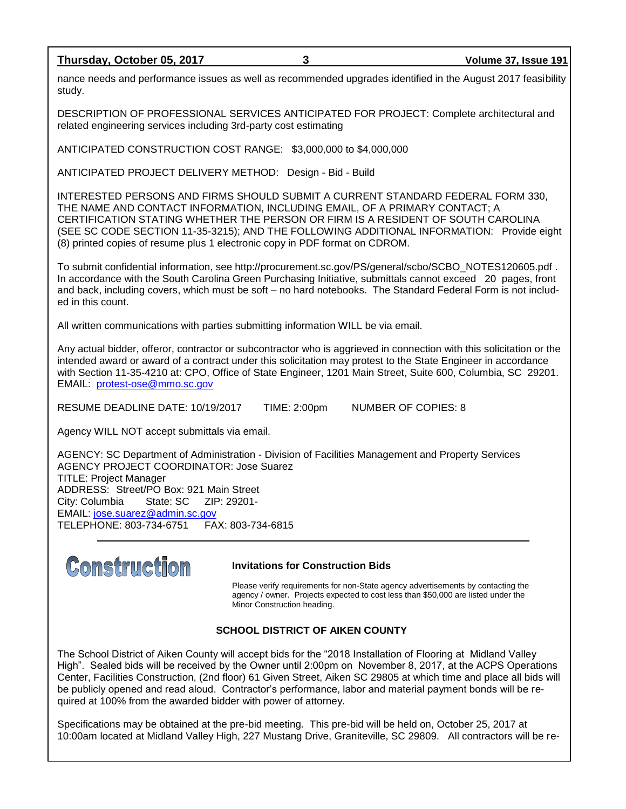### **Thursday, October 05, 2017 3 Volume 37, Issue 191**

nance needs and performance issues as well as recommended upgrades identified in the August 2017 feasibility study.

DESCRIPTION OF PROFESSIONAL SERVICES ANTICIPATED FOR PROJECT: Complete architectural and related engineering services including 3rd-party cost estimating

ANTICIPATED CONSTRUCTION COST RANGE: \$3,000,000 to \$4,000,000

ANTICIPATED PROJECT DELIVERY METHOD: Design - Bid - Build

INTERESTED PERSONS AND FIRMS SHOULD SUBMIT A CURRENT STANDARD FEDERAL FORM 330, THE NAME AND CONTACT INFORMATION, INCLUDING EMAIL, OF A PRIMARY CONTACT; A CERTIFICATION STATING WHETHER THE PERSON OR FIRM IS A RESIDENT OF SOUTH CAROLINA (SEE SC CODE SECTION 11-35-3215); AND THE FOLLOWING ADDITIONAL INFORMATION: Provide eight (8) printed copies of resume plus 1 electronic copy in PDF format on CDROM.

To submit confidential information, see http://procurement.sc.gov/PS/general/scbo/SCBO\_NOTES120605.pdf . In accordance with the South Carolina Green Purchasing Initiative, submittals cannot exceed 20 pages, front and back, including covers, which must be soft – no hard notebooks. The Standard Federal Form is not included in this count.

All written communications with parties submitting information WILL be via email.

Any actual bidder, offeror, contractor or subcontractor who is aggrieved in connection with this solicitation or the intended award or award of a contract under this solicitation may protest to the State Engineer in accordance with Section 11-35-4210 at: CPO, Office of State Engineer, 1201 Main Street, Suite 600, Columbia, SC 29201. EMAIL: [protest-ose@mmo.sc.gov](mailto:protest-ose@mmo.sc.gov)

RESUME DEADLINE DATE: 10/19/2017 TIME: 2:00pm NUMBER OF COPIES: 8

Agency WILL NOT accept submittals via email.

AGENCY: SC Department of Administration - Division of Facilities Management and Property Services AGENCY PROJECT COORDINATOR: Jose Suarez TITLE: Project Manager ADDRESS: Street/PO Box: 921 Main Street City: Columbia State: SC ZIP: 29201- EMAIL: [jose.suarez@admin.sc.gov](mailto:jose.suarez@admin.sc.gov) TELEPHONE: 803-734-6751 FAX: 803-734-6815



#### **Invitations for Construction Bids**

Please verify requirements for non-State agency advertisements by contacting the agency / owner. Projects expected to cost less than \$50,000 are listed under the Minor Construction heading.

# **SCHOOL DISTRICT OF AIKEN COUNTY**

The School District of Aiken County will accept bids for the "2018 Installation of Flooring at Midland Valley High". Sealed bids will be received by the Owner until 2:00pm on November 8, 2017, at the ACPS Operations Center, Facilities Construction, (2nd floor) 61 Given Street, Aiken SC 29805 at which time and place all bids will be publicly opened and read aloud. Contractor's performance, labor and material payment bonds will be required at 100% from the awarded bidder with power of attorney.

Specifications may be obtained at the pre-bid meeting. This pre-bid will be held on, October 25, 2017 at 10:00am located at Midland Valley High, 227 Mustang Drive, Graniteville, SC 29809. All contractors will be re-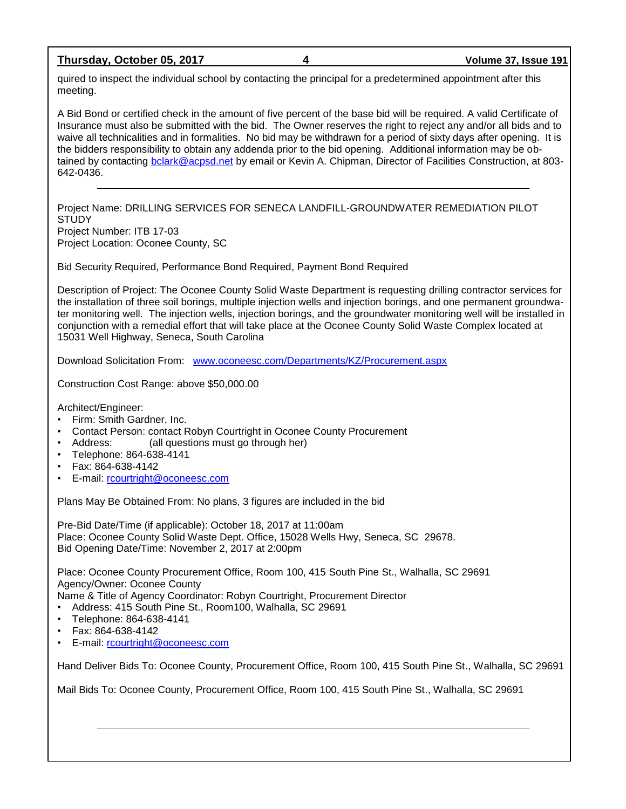**Thursday, October 05, 2017 4 Volume 37, Issue 191**

quired to inspect the individual school by contacting the principal for a predetermined appointment after this meeting.

A Bid Bond or certified check in the amount of five percent of the base bid will be required. A valid Certificate of Insurance must also be submitted with the bid. The Owner reserves the right to reject any and/or all bids and to waive all technicalities and in formalities. No bid may be withdrawn for a period of sixty days after opening. It is the bidders responsibility to obtain any addenda prior to the bid opening. Additional information may be obtained by contacting [bclark@acpsd.net](mailto:bclark@acpsd.net) by email or Kevin A. Chipman, Director of Facilities Construction, at 803- 642-0436.

Project Name: DRILLING SERVICES FOR SENECA LANDFILL-GROUNDWATER REMEDIATION PILOT **STUDY** Project Number: ITB 17-03 Project Location: Oconee County, SC

Bid Security Required, Performance Bond Required, Payment Bond Required

Description of Project: The Oconee County Solid Waste Department is requesting drilling contractor services for the installation of three soil borings, multiple injection wells and injection borings, and one permanent groundwater monitoring well. The injection wells, injection borings, and the groundwater monitoring well will be installed in conjunction with a remedial effort that will take place at the Oconee County Solid Waste Complex located at 15031 Well Highway, Seneca, South Carolina

Download Solicitation From: [www.oconeesc.com/Departments/KZ/Procurement.aspx](http://www.oconeesc.com/Departments/KZ/Procurement.aspx)

Construction Cost Range: above \$50,000.00

Architect/Engineer:

- Firm: Smith Gardner, Inc.
- Contact Person: contact Robyn Courtright in Oconee County Procurement
- Address: (all questions must go through her)
- Telephone: 864-638-4141
- Fax: 864-638-4142
- E-mail: [rcourtright@oconeesc.com](mailto:rcourtright@oconeesc.com)

Plans May Be Obtained From: No plans, 3 figures are included in the bid

Pre-Bid Date/Time (if applicable): October 18, 2017 at 11:00am Place: Oconee County Solid Waste Dept. Office, 15028 Wells Hwy, Seneca, SC 29678. Bid Opening Date/Time: November 2, 2017 at 2:00pm

Place: Oconee County Procurement Office, Room 100, 415 South Pine St., Walhalla, SC 29691 Agency/Owner: Oconee County

Name & Title of Agency Coordinator: Robyn Courtright, Procurement Director

- Address: 415 South Pine St., Room100, Walhalla, SC 29691
- Telephone: 864-638-4141
- Fax: 864-638-4142
- E-mail: [rcourtright@oconeesc.com](mailto:rcourtright@oconeesc.com)

Hand Deliver Bids To: Oconee County, Procurement Office, Room 100, 415 South Pine St., Walhalla, SC 29691

Mail Bids To: Oconee County, Procurement Office, Room 100, 415 South Pine St., Walhalla, SC 29691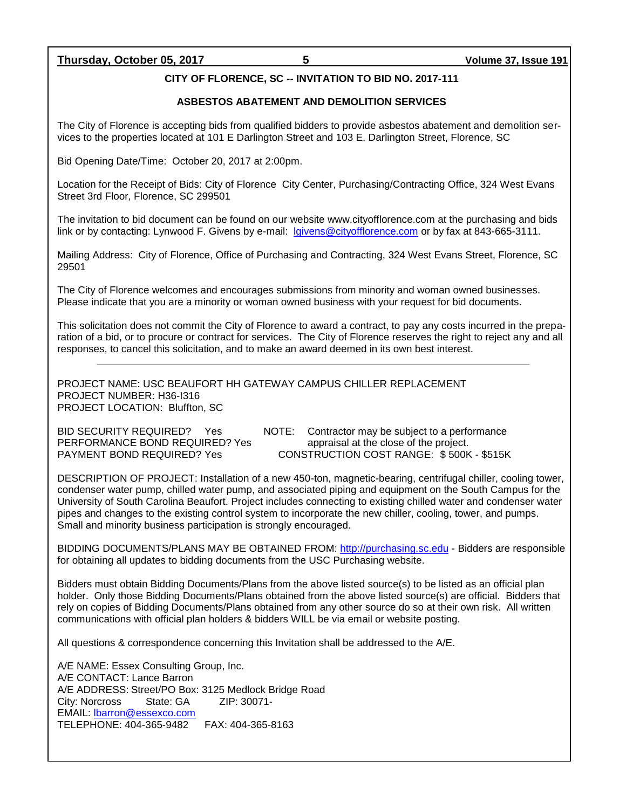# **Thursday, October 05, 2017 5 Volume 37, Issue 191**

# **CITY OF FLORENCE, SC -- INVITATION TO BID NO. 2017-111**

### **ASBESTOS ABATEMENT AND DEMOLITION SERVICES**

The City of Florence is accepting bids from qualified bidders to provide asbestos abatement and demolition services to the properties located at 101 E Darlington Street and 103 E. Darlington Street, Florence, SC

Bid Opening Date/Time: October 20, 2017 at 2:00pm.

Location for the Receipt of Bids: City of Florence City Center, Purchasing/Contracting Office, 324 West Evans Street 3rd Floor, Florence, SC 299501

The invitation to bid document can be found on our website www.cityofflorence.com at the purchasing and bids link or by contacting: Lynwood F. Givens by e-mail: [lgivens@cityofflorence.com](mailto:lgivens@cityofflorence.com) or by fax at 843-665-3111.

Mailing Address: City of Florence, Office of Purchasing and Contracting, 324 West Evans Street, Florence, SC 29501

The City of Florence welcomes and encourages submissions from minority and woman owned businesses. Please indicate that you are a minority or woman owned business with your request for bid documents.

This solicitation does not commit the City of Florence to award a contract, to pay any costs incurred in the preparation of a bid, or to procure or contract for services. The City of Florence reserves the right to reject any and all responses, to cancel this solicitation, and to make an award deemed in its own best interest.

PROJECT NAME: USC BEAUFORT HH GATEWAY CAMPUS CHILLER REPLACEMENT PROJECT NUMBER: H36-I316 PROJECT LOCATION: Bluffton, SC

PERFORMANCE BOND REQUIRED? Yes appraisal at the close of the project.<br>
PAYMENT BOND REQUIRED? Yes CONSTRUCTION COST RANGE: \$500K

BID SECURITY REQUIRED? Yes NOTE: Contractor may be subject to a performance CONSTRUCTION COST RANGE: \$ 500K - \$515K

DESCRIPTION OF PROJECT: Installation of a new 450-ton, magnetic-bearing, centrifugal chiller, cooling tower, condenser water pump, chilled water pump, and associated piping and equipment on the South Campus for the University of South Carolina Beaufort. Project includes connecting to existing chilled water and condenser water pipes and changes to the existing control system to incorporate the new chiller, cooling, tower, and pumps. Small and minority business participation is strongly encouraged.

BIDDING DOCUMENTS/PLANS MAY BE OBTAINED FROM: [http://purchasing.sc.edu](http://purchasing.sc.edu/) - Bidders are responsible for obtaining all updates to bidding documents from the USC Purchasing website.

Bidders must obtain Bidding Documents/Plans from the above listed source(s) to be listed as an official plan holder. Only those Bidding Documents/Plans obtained from the above listed source(s) are official. Bidders that rely on copies of Bidding Documents/Plans obtained from any other source do so at their own risk. All written communications with official plan holders & bidders WILL be via email or website posting.

All questions & correspondence concerning this Invitation shall be addressed to the A/E.

A/E NAME: Essex Consulting Group, Inc. A/E CONTACT: Lance Barron A/E ADDRESS: Street/PO Box: 3125 Medlock Bridge Road City: Norcross State: GA ZIP: 30071- EMAIL: [lbarron@essexco.com](mailto:lbarron@essexco.com) TELEPHONE: 404-365-9482 FAX: 404-365-8163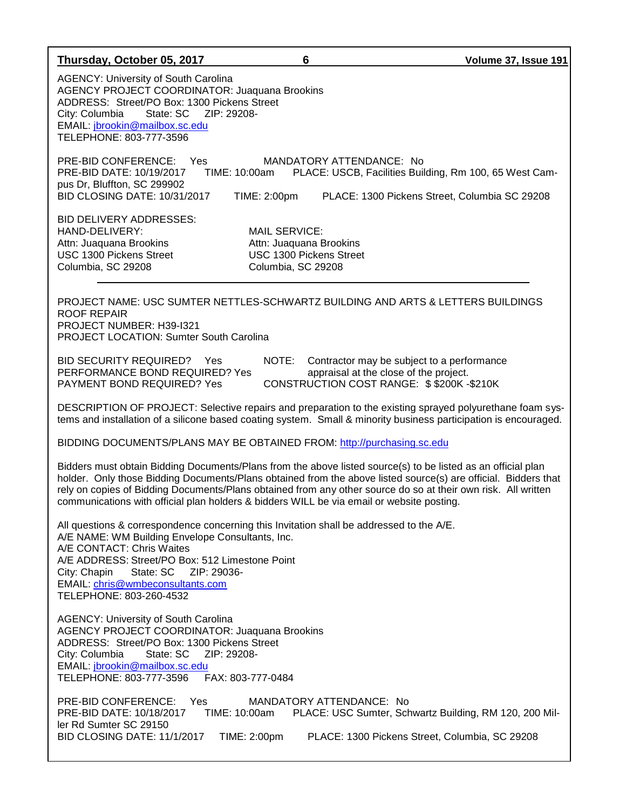| Thursday, October 05, 2017                                                                                                                                                                                                                                                                                  | 6                                                                                                       | Volume 37, Issue 191                                                                                                                                                                                                                                                                                                                            |  |  |
|-------------------------------------------------------------------------------------------------------------------------------------------------------------------------------------------------------------------------------------------------------------------------------------------------------------|---------------------------------------------------------------------------------------------------------|-------------------------------------------------------------------------------------------------------------------------------------------------------------------------------------------------------------------------------------------------------------------------------------------------------------------------------------------------|--|--|
| <b>AGENCY: University of South Carolina</b><br><b>AGENCY PROJECT COORDINATOR: Juaquana Brookins</b><br>ADDRESS: Street/PO Box: 1300 Pickens Street<br>City: Columbia<br>State: SC<br>EMAIL: jbrookin@mailbox.sc.edu<br>TELEPHONE: 803-777-3596                                                              | ZIP: 29208-                                                                                             |                                                                                                                                                                                                                                                                                                                                                 |  |  |
| PRE-BID CONFERENCE: Yes<br>PRE-BID DATE: 10/19/2017<br>pus Dr, Bluffton, SC 299902<br><b>BID CLOSING DATE: 10/31/2017</b>                                                                                                                                                                                   | TIME: 10:00am<br>TIME: 2:00pm                                                                           | MANDATORY ATTENDANCE: No<br>PLACE: USCB, Facilities Building, Rm 100, 65 West Cam-<br>PLACE: 1300 Pickens Street, Columbia SC 29208                                                                                                                                                                                                             |  |  |
| <b>BID DELIVERY ADDRESSES:</b><br>HAND-DELIVERY:<br>Attn: Juaquana Brookins<br>USC 1300 Pickens Street<br>Columbia, SC 29208                                                                                                                                                                                | <b>MAIL SERVICE:</b><br>Attn: Juaquana Brookins<br><b>USC 1300 Pickens Street</b><br>Columbia, SC 29208 |                                                                                                                                                                                                                                                                                                                                                 |  |  |
| PROJECT NAME: USC SUMTER NETTLES-SCHWARTZ BUILDING AND ARTS & LETTERS BUILDINGS<br><b>ROOF REPAIR</b><br>PROJECT NUMBER: H39-I321<br><b>PROJECT LOCATION: Sumter South Carolina</b>                                                                                                                         |                                                                                                         |                                                                                                                                                                                                                                                                                                                                                 |  |  |
| <b>BID SECURITY REQUIRED?</b> Yes<br>PERFORMANCE BOND REQUIRED? Yes<br>PAYMENT BOND REQUIRED? Yes                                                                                                                                                                                                           | NOTE:                                                                                                   | Contractor may be subject to a performance<br>appraisal at the close of the project.<br>CONSTRUCTION COST RANGE: \$\$200K-\$210K                                                                                                                                                                                                                |  |  |
| DESCRIPTION OF PROJECT: Selective repairs and preparation to the existing sprayed polyurethane foam sys-<br>tems and installation of a silicone based coating system. Small & minority business participation is encouraged.                                                                                |                                                                                                         |                                                                                                                                                                                                                                                                                                                                                 |  |  |
| BIDDING DOCUMENTS/PLANS MAY BE OBTAINED FROM: http://purchasing.sc.edu                                                                                                                                                                                                                                      |                                                                                                         |                                                                                                                                                                                                                                                                                                                                                 |  |  |
| communications with official plan holders & bidders WILL be via email or website posting.                                                                                                                                                                                                                   |                                                                                                         | Bidders must obtain Bidding Documents/Plans from the above listed source(s) to be listed as an official plan<br>holder. Only those Bidding Documents/Plans obtained from the above listed source(s) are official. Bidders that<br>rely on copies of Bidding Documents/Plans obtained from any other source do so at their own risk. All written |  |  |
| All questions & correspondence concerning this Invitation shall be addressed to the A/E.<br>A/E NAME: WM Building Envelope Consultants, Inc.<br>A/E CONTACT: Chris Waites<br>A/E ADDRESS: Street/PO Box: 512 Limestone Point<br>City: Chapin<br>EMAIL: chris@wmbeconsultants.com<br>TELEPHONE: 803-260-4532 |                                                                                                         |                                                                                                                                                                                                                                                                                                                                                 |  |  |
| <b>AGENCY: University of South Carolina</b><br><b>AGENCY PROJECT COORDINATOR: Juaquana Brookins</b><br>ADDRESS: Street/PO Box: 1300 Pickens Street<br>City: Columbia<br>State: SC<br>ZIP: 29208-<br>EMAIL: jbrookin@mailbox.sc.edu<br>TELEPHONE: 803-777-3596<br>FAX: 803-777-0484                          |                                                                                                         |                                                                                                                                                                                                                                                                                                                                                 |  |  |
| PRE-BID CONFERENCE: Yes<br>PRE-BID DATE: 10/18/2017<br>ler Rd Sumter SC 29150<br>BID CLOSING DATE: 11/1/2017                                                                                                                                                                                                | TIME: 10:00am<br>TIME: 2:00pm                                                                           | MANDATORY ATTENDANCE: No<br>PLACE: USC Sumter, Schwartz Building, RM 120, 200 Mil-<br>PLACE: 1300 Pickens Street, Columbia, SC 29208                                                                                                                                                                                                            |  |  |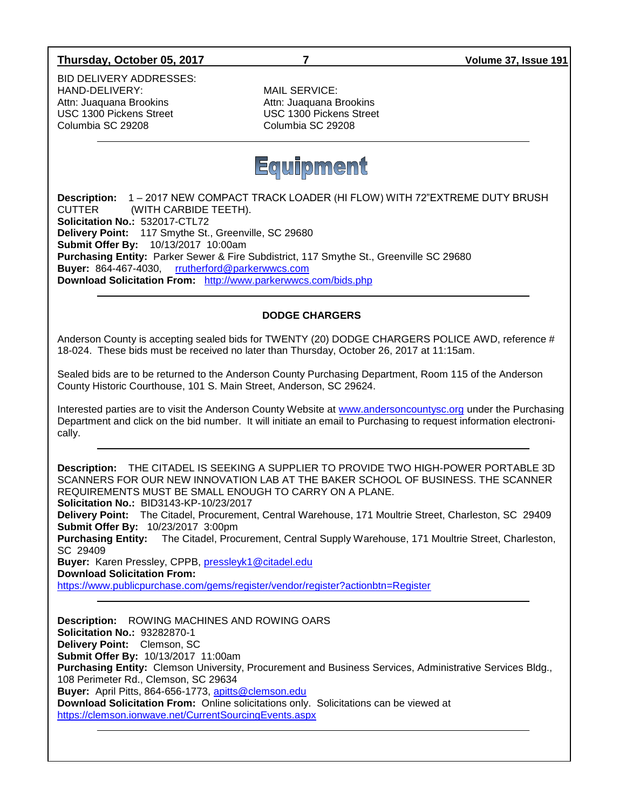# **Thursday, October 05, 2017 7 Volume 37, Issue 191**

BID DELIVERY ADDRESSES: HAND-DELIVERY: MAIL SERVICE: Attn: Juaquana Brookins **Attn: Juaquana Brookins** USC 1300 Pickens Street USC 1300 Pickens Street Columbia SC 29208 Columbia SC 29208



**Description:** 1 – 2017 NEW COMPACT TRACK LOADER (HI FLOW) WITH 72"EXTREME DUTY BRUSH CUTTER (WITH CARBIDE TEETH). **Solicitation No.:** 532017-CTL72 **Delivery Point:** 117 Smythe St., Greenville, SC 29680 **Submit Offer By:** 10/13/2017 10:00am **Purchasing Entity:** Parker Sewer & Fire Subdistrict, 117 Smythe St., Greenville SC 29680 **Buyer:** 864-467-4030, [rrutherford@parkerwwcs.com](mailto:rrutherford@parkerwwcs.com) **Download Solicitation From:** <http://www.parkerwwcs.com/bids.php>

# **DODGE CHARGERS**

Anderson County is accepting sealed bids for TWENTY (20) DODGE CHARGERS POLICE AWD, reference # 18-024. These bids must be received no later than Thursday, October 26, 2017 at 11:15am.

Sealed bids are to be returned to the Anderson County Purchasing Department, Room 115 of the Anderson County Historic Courthouse, 101 S. Main Street, Anderson, SC 29624.

Interested parties are to visit the Anderson County Website at [www.andersoncountysc.org](http://www.andersoncountysc.org/) under the Purchasing Department and click on the bid number. It will initiate an email to Purchasing to request information electronically.

**Description:** THE CITADEL IS SEEKING A SUPPLIER TO PROVIDE TWO HIGH-POWER PORTABLE 3D SCANNERS FOR OUR NEW INNOVATION LAB AT THE BAKER SCHOOL OF BUSINESS. THE SCANNER REQUIREMENTS MUST BE SMALL ENOUGH TO CARRY ON A PLANE. **Solicitation No.:** BID3143-KP-10/23/2017 **Delivery Point:** The Citadel, Procurement, Central Warehouse, 171 Moultrie Street, Charleston, SC 29409 **Submit Offer By:** 10/23/2017 3:00pm **Purchasing Entity:** The Citadel, Procurement, Central Supply Warehouse, 171 Moultrie Street, Charleston, SC 29409 **Buyer:** Karen Pressley, CPPB, [pressleyk1@citadel.edu](mailto:pressleyk1@citadel.edu) **Download Solicitation From:** <https://www.publicpurchase.com/gems/register/vendor/register?actionbtn=Register> **Description:** ROWING MACHINES AND ROWING OARS **Solicitation No.:** 93282870-1 **Delivery Point:** Clemson, SC **Submit Offer By:** 10/13/2017 11:00am **Purchasing Entity:** Clemson University, Procurement and Business Services, Administrative Services Bldg., 108 Perimeter Rd., Clemson, SC 29634 **Buyer:** April Pitts, 864-656-1773, [apitts@clemson.edu](mailto:apitts@clemson.edu) **Download Solicitation From:** Online solicitations only. Solicitations can be viewed at <https://clemson.ionwave.net/CurrentSourcingEvents.aspx>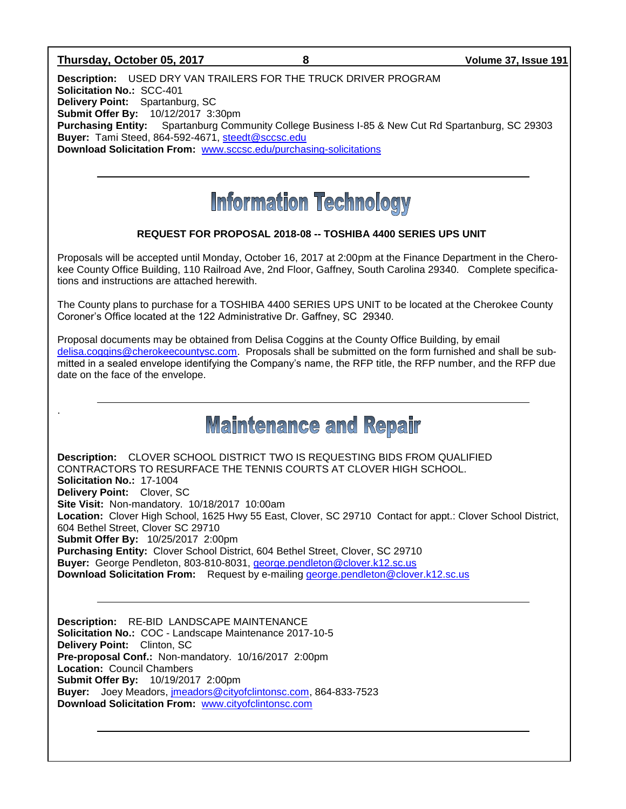### **Thursday, October 05, 2017 8 Volume 37, Issue 191**

.

**Description:** USED DRY VAN TRAILERS FOR THE TRUCK DRIVER PROGRAM **Solicitation No.:** SCC-401 **Delivery Point:** Spartanburg, SC **Submit Offer By:** 10/12/2017 3:30pm **Purchasing Entity:** Spartanburg Community College Business I-85 & New Cut Rd Spartanburg, SC 29303 **Buyer:** Tami Steed, 864-592-4671, [steedt@sccsc.edu](mailto:steedt@sccsc.edu) **Download Solicitation From:** [www.sccsc.edu/purchasing-solicitations](http://www.sccsc.edu/purchasing-solicitations)

# **Information Technology**

# **REQUEST FOR PROPOSAL 2018-08 -- TOSHIBA 4400 SERIES UPS UNIT**

Proposals will be accepted until Monday, October 16, 2017 at 2:00pm at the Finance Department in the Cherokee County Office Building, 110 Railroad Ave, 2nd Floor, Gaffney, South Carolina 29340. Complete specifications and instructions are attached herewith.

The County plans to purchase for a TOSHIBA 4400 SERIES UPS UNIT to be located at the Cherokee County Coroner's Office located at the 122 Administrative Dr. Gaffney, SC 29340.

Proposal documents may be obtained from Delisa Coggins at the County Office Building, by email [delisa.coggins@cherokeecountysc.com.](mailto:delisa.coggins@cherokeecountysc.com) Proposals shall be submitted on the form furnished and shall be submitted in a sealed envelope identifying the Company's name, the RFP title, the RFP number, and the RFP due date on the face of the envelope.

**Maintenance and Repair** 

**Description:** CLOVER SCHOOL DISTRICT TWO IS REQUESTING BIDS FROM QUALIFIED CONTRACTORS TO RESURFACE THE TENNIS COURTS AT CLOVER HIGH SCHOOL. **Solicitation No.:** 17-1004 **Delivery Point:** Clover, SC **Site Visit:** Non-mandatory. 10/18/2017 10:00am **Location:** Clover High School, 1625 Hwy 55 East, Clover, SC 29710 Contact for appt.: Clover School District, 604 Bethel Street, Clover SC 29710 **Submit Offer By:** 10/25/2017 2:00pm **Purchasing Entity:** Clover School District, 604 Bethel Street, Clover, SC 29710 **Buyer:** George Pendleton, 803-810-8031, [george.pendleton@clover.k12.sc.us](mailto:george.pendleton@clover.k12.sc.us) **Download Solicitation From:** Request by e-mailing [george.pendleton@clover.k12.sc.us](mailto:george.pendleton@clover.k12.sc.us)

**Description:** RE-BID LANDSCAPE MAINTENANCE **Solicitation No.:** COC - Landscape Maintenance 2017-10-5 **Delivery Point:** Clinton, SC **Pre-proposal Conf.:** Non-mandatory. 10/16/2017 2:00pm **Location:** Council Chambers **Submit Offer By:** 10/19/2017 2:00pm **Buyer:** Joey Meadors, [jmeadors@cityofclintonsc.com,](mailto:jmeadors@cityofclintonsc.com) 864-833-7523 **Download Solicitation From:** [www.cityofclintonsc.com](http://www.cityofclintonsc.com/)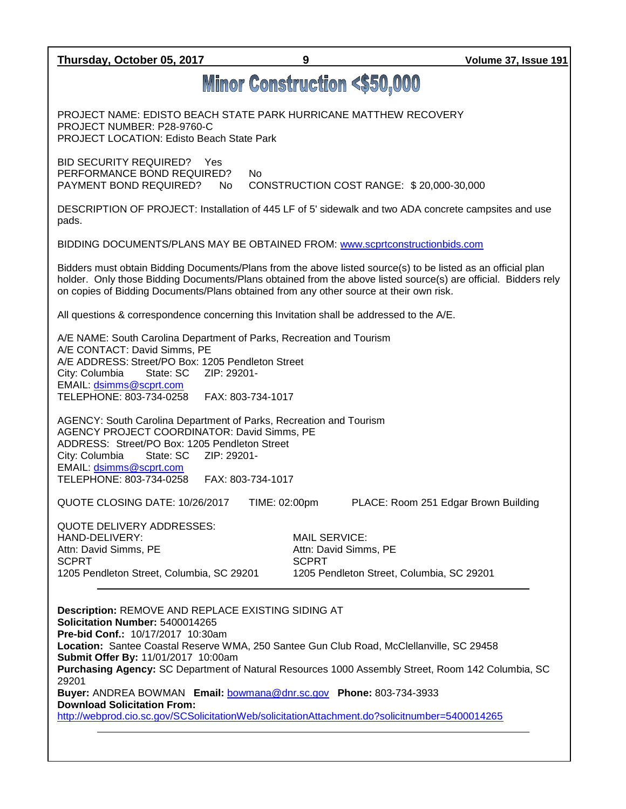**Thursday, October 05, 2017 9 Volume 37, Issue 191 Minor Construction <\$50,000** PROJECT NAME: EDISTO BEACH STATE PARK HURRICANE MATTHEW RECOVERY PROJECT NUMBER: P28-9760-C PROJECT LOCATION: Edisto Beach State Park BID SECURITY REQUIRED? Yes PERFORMANCE BOND REQUIRED? No PAYMENT BOND REQUIRED? No CONSTRUCTION COST RANGE: \$ 20,000-30,000 DESCRIPTION OF PROJECT: Installation of 445 LF of 5' sidewalk and two ADA concrete campsites and use pads. BIDDING DOCUMENTS/PLANS MAY BE OBTAINED FROM: [www.scprtconstructionbids.com](http://www.scprtconstructionbids.com/) Bidders must obtain Bidding Documents/Plans from the above listed source(s) to be listed as an official plan holder. Only those Bidding Documents/Plans obtained from the above listed source(s) are official. Bidders rely on copies of Bidding Documents/Plans obtained from any other source at their own risk. All questions & correspondence concerning this Invitation shall be addressed to the A/E. A/E NAME: South Carolina Department of Parks, Recreation and Tourism A/E CONTACT: David Simms, PE A/E ADDRESS: Street/PO Box: 1205 Pendleton Street City: Columbia State: SC ZIP: 29201- EMAIL: [dsimms@scprt.com](mailto:dsimms@scprt.com) TELEPHONE: 803-734-0258 FAX: 803-734-1017 AGENCY: South Carolina Department of Parks, Recreation and Tourism AGENCY PROJECT COORDINATOR: David Simms, PE ADDRESS: Street/PO Box: 1205 Pendleton Street City: Columbia State: SC ZIP: 29201- EMAIL: [dsimms@scprt.com](mailto:dsimms@scprt.com) TELEPHONE: 803-734-0258 FAX: 803-734-1017 QUOTE CLOSING DATE: 10/26/2017 TIME: 02:00pm PLACE: Room 251 Edgar Brown Building QUOTE DELIVERY ADDRESSES: HAND-DELIVERY: MAIL SERVICE: Attn: David Simms, PE Attn: David Simms, PE SCPRT SCPRT SCPRT 1205 Pendleton Street, Columbia, SC 29201 1205 Pendleton Street, Columbia, SC 29201 **Description:** REMOVE AND REPLACE EXISTING SIDING AT **Solicitation Number:** 5400014265 **Pre-bid Conf.:** 10/17/2017 10:30am **Location:** Santee Coastal Reserve WMA, 250 Santee Gun Club Road, McClellanville, SC 29458 **Submit Offer By:** 11/01/2017 10:00am **Purchasing Agency:** SC Department of Natural Resources 1000 Assembly Street, Room 142 Columbia, SC 29201 **Buyer:** ANDREA BOWMAN **Email:** [bowmana@dnr.sc.gov](mailto:bowmana@dnr.sc.gov) **Phone:** 803-734-3933 **Download Solicitation From:**  <http://webprod.cio.sc.gov/SCSolicitationWeb/solicitationAttachment.do?solicitnumber=5400014265>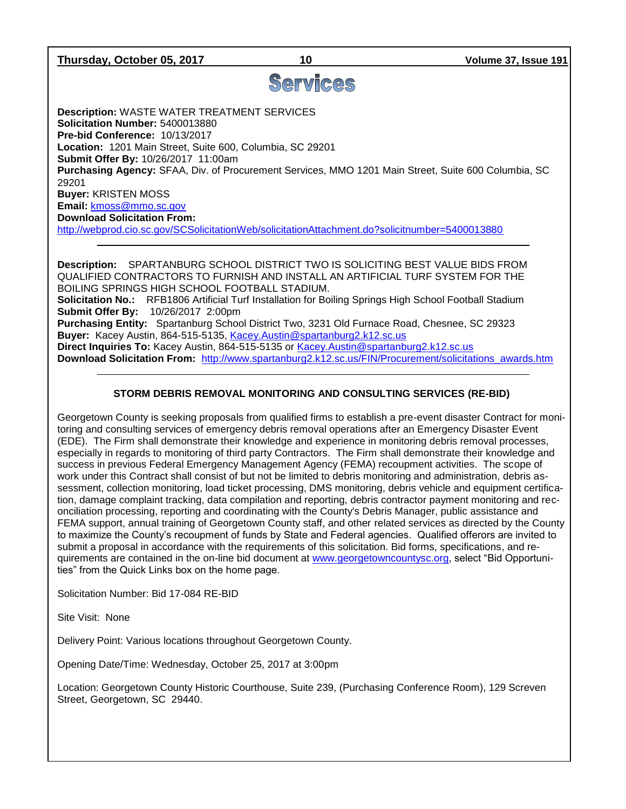**Thursday, October 05, 2017 10 Volume 37, Issue 191**

# Services

**Description:** WASTE WATER TREATMENT SERVICES **Solicitation Number:** 5400013880 **Pre-bid Conference:** 10/13/2017 **Location:** 1201 Main Street, Suite 600, Columbia, SC 29201 **Submit Offer By:** 10/26/2017 11:00am **Purchasing Agency:** SFAA, Div. of Procurement Services, MMO 1201 Main Street, Suite 600 Columbia, SC 29201 **Buyer:** KRISTEN MOSS **Email:** [kmoss@mmo.sc.gov](mailto:kmoss@mmo.sc.gov) **Download Solicitation From:**  <http://webprod.cio.sc.gov/SCSolicitationWeb/solicitationAttachment.do?solicitnumber=5400013880>

**Description:** SPARTANBURG SCHOOL DISTRICT TWO IS SOLICITING BEST VALUE BIDS FROM QUALIFIED CONTRACTORS TO FURNISH AND INSTALL AN ARTIFICIAL TURF SYSTEM FOR THE BOILING SPRINGS HIGH SCHOOL FOOTBALL STADIUM. **Solicitation No.:** RFB1806 Artificial Turf Installation for Boiling Springs High School Football Stadium **Submit Offer By:** 10/26/2017 2:00pm **Purchasing Entity:** Spartanburg School District Two, 3231 Old Furnace Road, Chesnee, SC 29323 **Buyer:** Kacey Austin, 864-515-5135, [Kacey.Austin@spartanburg2.k12.sc.us](mailto:Kacey.Austin@spartanburg2.k12.sc.us) **Direct Inquiries To:** Kacey Austin, 864-515-5135 or [Kacey.Austin@spartanburg2.k12.sc.us](mailto:Kacey.Austin@spartanburg2.k12.sc.us) **Download Solicitation From:** [http://www.spartanburg2.k12.sc.us/FIN/Procurement/solicitations\\_awards.htm](http://www.spartanburg2.k12.sc.us/FIN/Procurement/solicitations_awards.htm)

# **STORM DEBRIS REMOVAL MONITORING AND CONSULTING SERVICES (RE-BID)**

Georgetown County is seeking proposals from qualified firms to establish a pre-event disaster Contract for monitoring and consulting services of emergency debris removal operations after an Emergency Disaster Event (EDE). The Firm shall demonstrate their knowledge and experience in monitoring debris removal processes, especially in regards to monitoring of third party Contractors. The Firm shall demonstrate their knowledge and success in previous Federal Emergency Management Agency (FEMA) recoupment activities. The scope of work under this Contract shall consist of but not be limited to debris monitoring and administration, debris assessment, collection monitoring, load ticket processing, DMS monitoring, debris vehicle and equipment certification, damage complaint tracking, data compilation and reporting, debris contractor payment monitoring and reconciliation processing, reporting and coordinating with the County's Debris Manager, public assistance and FEMA support, annual training of Georgetown County staff, and other related services as directed by the County to maximize the County's recoupment of funds by State and Federal agencies. Qualified offerors are invited to submit a proposal in accordance with the requirements of this solicitation. Bid forms, specifications, and requirements are contained in the on-line bid document at [www.georgetowncountysc.org,](http://www.georgetowncountysc.org/) select "Bid Opportunities" from the Quick Links box on the home page.

Solicitation Number: Bid 17-084 RE-BID

Site Visit: None

Delivery Point: Various locations throughout Georgetown County.

Opening Date/Time: Wednesday, October 25, 2017 at 3:00pm

Location: Georgetown County Historic Courthouse, Suite 239, (Purchasing Conference Room), 129 Screven Street, Georgetown, SC 29440.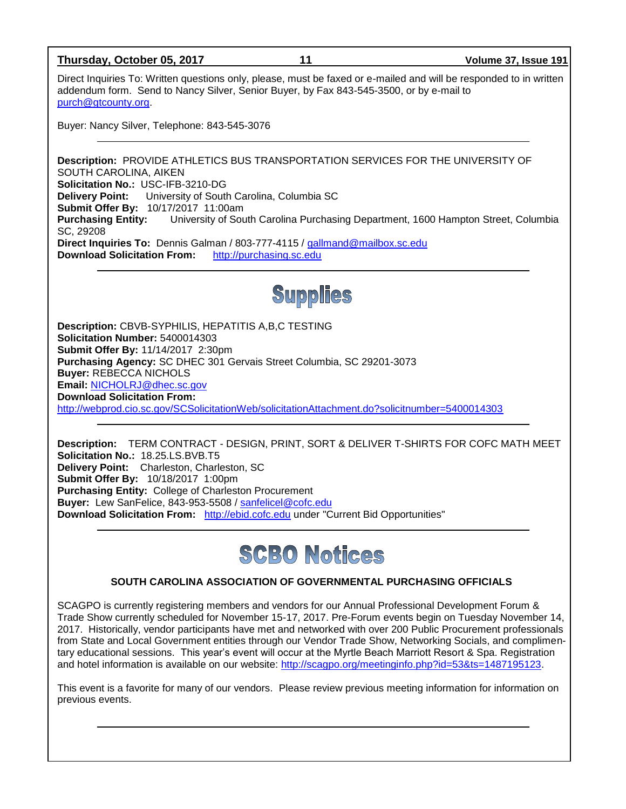# **Thursday, October 05, 2017 11 Volume 37, Issue 191**

Direct Inquiries To: Written questions only, please, must be faxed or e-mailed and will be responded to in written addendum form. Send to Nancy Silver, Senior Buyer, by Fax 843-545-3500, or by e-mail to [purch@gtcounty.org.](mailto:purch@gtcounty.org)

Buyer: Nancy Silver, Telephone: 843-545-3076

**Description:** PROVIDE ATHLETICS BUS TRANSPORTATION SERVICES FOR THE UNIVERSITY OF SOUTH CAROLINA, AIKEN **Solicitation No.:** USC-IFB-3210-DG **Delivery Point:** University of South Carolina, Columbia SC **Submit Offer By:** 10/17/2017 11:00am **Purchasing Entity:** University of South Carolina Purchasing Department, 1600 Hampton Street, Columbia SC, 29208 **Direct Inquiries To:** Dennis Galman / 803-777-4115 / [gallmand@mailbox.sc.edu](mailto:gallmand@mailbox.sc.edu) **Download Solicitation From:** [http://purchasing.sc.edu](http://purchasing.sc.edu/)



**Description:** CBVB-SYPHILIS, HEPATITIS A,B,C TESTING **Solicitation Number:** 5400014303 **Submit Offer By:** 11/14/2017 2:30pm **Purchasing Agency:** SC DHEC 301 Gervais Street Columbia, SC 29201-3073 **Buyer:** REBECCA NICHOLS **Email:** [NICHOLRJ@dhec.sc.gov](mailto:NICHOLRJ@dhec.sc.gov) **Download Solicitation From:**  <http://webprod.cio.sc.gov/SCSolicitationWeb/solicitationAttachment.do?solicitnumber=5400014303>

**Description:** TERM CONTRACT - DESIGN, PRINT, SORT & DELIVER T-SHIRTS FOR COFC MATH MEET **Solicitation No.:** 18.25.LS.BVB.T5 **Delivery Point:** Charleston, Charleston, SC **Submit Offer By:** 10/18/2017 1:00pm **Purchasing Entity:** College of Charleston Procurement **Buyer:** Lew SanFelice, 843-953-5508 / [sanfelicel@cofc.edu](mailto:sanfelicel@cofc.edu) **Download Solicitation From:** [http://ebid.cofc.edu](http://ebid.cofc.edu/) under "Current Bid Opportunities"



# **SOUTH CAROLINA ASSOCIATION OF GOVERNMENTAL PURCHASING OFFICIALS**

SCAGPO is currently registering members and vendors for our Annual Professional Development Forum & Trade Show currently scheduled for November 15-17, 2017. Pre-Forum events begin on Tuesday November 14, 2017. Historically, vendor participants have met and networked with over 200 Public Procurement professionals from State and Local Government entities through our Vendor Trade Show, Networking Socials, and complimentary educational sessions. This year's event will occur at the Myrtle Beach Marriott Resort & Spa. Registration and hotel information is available on our website: [http://scagpo.org/meetinginfo.php?id=53&ts=1487195123.](http://scagpo.org/meetinginfo.php?id=53&ts=1487195123)

This event is a favorite for many of our vendors. Please review previous meeting information for information on previous events.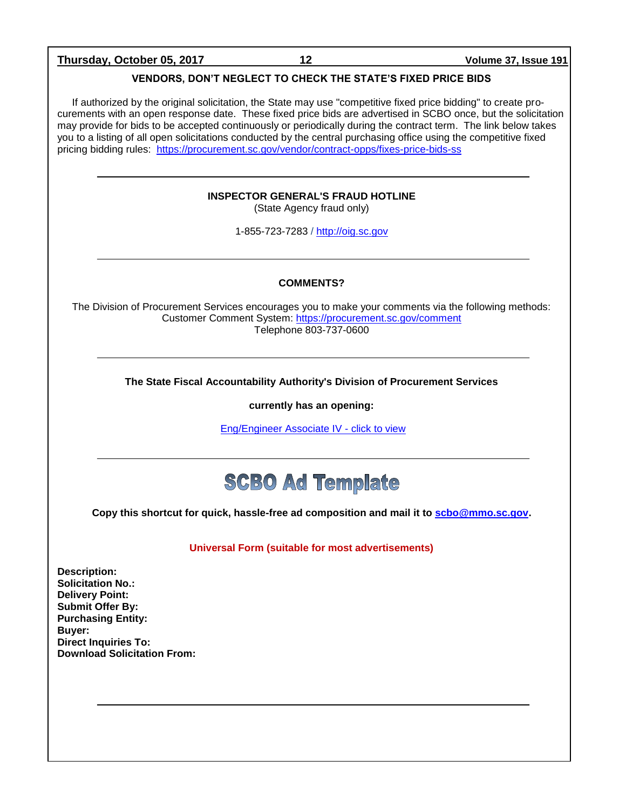### **Thursday, October 05, 2017 12 Volume 37, Issue 191**

# **VENDORS, DON'T NEGLECT TO CHECK THE STATE'S FIXED PRICE BIDS**

If authorized by the original solicitation, the State may use "competitive fixed price bidding" to create procurements with an open response date. These fixed price bids are advertised in SCBO once, but the solicitation may provide for bids to be accepted continuously or periodically during the contract term. The link below takes you to a listing of all open solicitations conducted by the central purchasing office using the competitive fixed pricing bidding rules: <https://procurement.sc.gov/vendor/contract-opps/fixes-price-bids-ss>

# **INSPECTOR GENERAL'S FRAUD HOTLINE**

(State Agency fraud only)

1-855-723-7283 / [http://oig.sc.gov](http://oig.sc.gov/)

### **COMMENTS?**

The Division of Procurement Services encourages you to make your comments via the following methods: Customer Comment System:<https://procurement.sc.gov/comment> Telephone 803-737-0600

**The State Fiscal Accountability Authority's Division of Procurement Services** 

**currently has an opening:**

[Eng/Engineer Associate IV -](http://agency.governmentjobs.com/sc/default.cfm?action=viewJob&jobID=1632757&hit_count=yes&headerFooter=1&promo=0&transfer=0&WDDXJobSearchParams=%3CwddxPacket%20version%3D%271%2E0%27%3E%3Cheader%2F%3E%3Cdata%3E%3Cstruct%3E%3Cvar%20name%3D%27TRANSFER%27%3E%3Cstring%3E0%3C%2Fstring%3E%3C%2Fvar%3E%3Cvar%20name%3D%27CATEGORYID%27%3E%3Cstring%3E-1%3C%2Fstring%3E%3C%2Fvar%3E%3Cvar%20name%3D%27FIND_KEYWORD%27%3E%3Cstring%3E%3C%2Fstring%3E%3C%2Fvar%3E%3Cvar%20name%3D%27PROMOTIONALJOBS%27%3E%3Cstring%3E0%3C%2Fstring%3E%3C%2Fvar%3E%3C%2Fstruct%3E%3C%2Fdata%3E%3C%2FwddxPacket%3E) click to view



**Copy this shortcut for quick, hassle-free ad composition and mail it to [scbo@mmo.sc.gov.](mailto:scbo@mmo.sc.gov)** 

**Universal Form (suitable for most advertisements)**

**Description: Solicitation No.: Delivery Point: Submit Offer By: Purchasing Entity: Buyer: Direct Inquiries To: Download Solicitation From:**